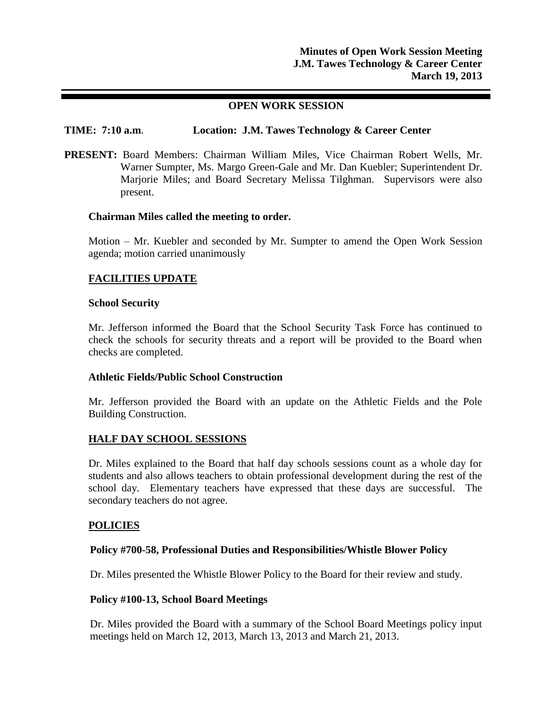## **OPEN WORK SESSION**

## **TIME: 7:10 a.m**. **Location: J.M. Tawes Technology & Career Center**

**PRESENT:** Board Members: Chairman William Miles, Vice Chairman Robert Wells, Mr. Warner Sumpter, Ms. Margo Green-Gale and Mr. Dan Kuebler; Superintendent Dr. Marjorie Miles; and Board Secretary Melissa Tilghman. Supervisors were also present.

### **Chairman Miles called the meeting to order.**

Motion – Mr. Kuebler and seconded by Mr. Sumpter to amend the Open Work Session agenda; motion carried unanimously

## **FACILITIES UPDATE**

### **School Security**

Mr. Jefferson informed the Board that the School Security Task Force has continued to check the schools for security threats and a report will be provided to the Board when checks are completed.

## **Athletic Fields/Public School Construction**

Mr. Jefferson provided the Board with an update on the Athletic Fields and the Pole Building Construction.

## **HALF DAY SCHOOL SESSIONS**

Dr. Miles explained to the Board that half day schools sessions count as a whole day for students and also allows teachers to obtain professional development during the rest of the school day. Elementary teachers have expressed that these days are successful. The secondary teachers do not agree.

## **POLICIES**

#### **Policy #700-58, Professional Duties and Responsibilities/Whistle Blower Policy**

Dr. Miles presented the Whistle Blower Policy to the Board for their review and study.

#### **Policy #100-13, School Board Meetings**

Dr. Miles provided the Board with a summary of the School Board Meetings policy input meetings held on March 12, 2013, March 13, 2013 and March 21, 2013.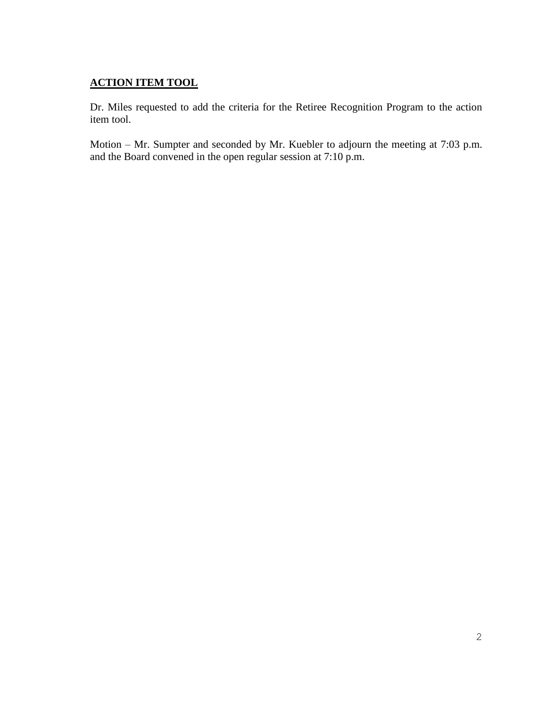# **ACTION ITEM TOOL**

Dr. Miles requested to add the criteria for the Retiree Recognition Program to the action item tool.

Motion – Mr. Sumpter and seconded by Mr. Kuebler to adjourn the meeting at 7:03 p.m. and the Board convened in the open regular session at 7:10 p.m.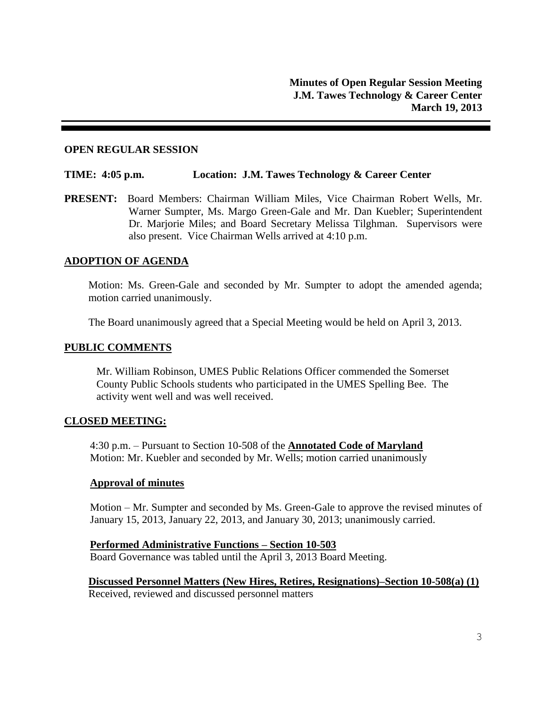## **OPEN REGULAR SESSION**

### **TIME: 4:05 p.m. Location: J.M. Tawes Technology & Career Center**

**PRESENT:** Board Members: Chairman William Miles, Vice Chairman Robert Wells, Mr. Warner Sumpter, Ms. Margo Green-Gale and Mr. Dan Kuebler; Superintendent Dr. Marjorie Miles; and Board Secretary Melissa Tilghman. Supervisors were also present. Vice Chairman Wells arrived at 4:10 p.m.

## **ADOPTION OF AGENDA**

Motion: Ms. Green-Gale and seconded by Mr. Sumpter to adopt the amended agenda; motion carried unanimously.

The Board unanimously agreed that a Special Meeting would be held on April 3, 2013.

### **PUBLIC COMMENTS**

Mr. William Robinson, UMES Public Relations Officer commended the Somerset County Public Schools students who participated in the UMES Spelling Bee. The activity went well and was well received.

#### **CLOSED MEETING:**

4:30 p.m. – Pursuant to Section 10-508 of the **Annotated Code of Maryland** Motion: Mr. Kuebler and seconded by Mr. Wells; motion carried unanimously

#### **Approval of minutes**

Motion – Mr. Sumpter and seconded by Ms. Green-Gale to approve the revised minutes of January 15, 2013, January 22, 2013, and January 30, 2013; unanimously carried.

# **Performed Administrative Functions – Section 10-503** Board Governance was tabled until the April 3, 2013 Board Meeting.

**Discussed Personnel Matters (New Hires, Retires, Resignations)–Section 10-508(a) (1)** Received, reviewed and discussed personnel matters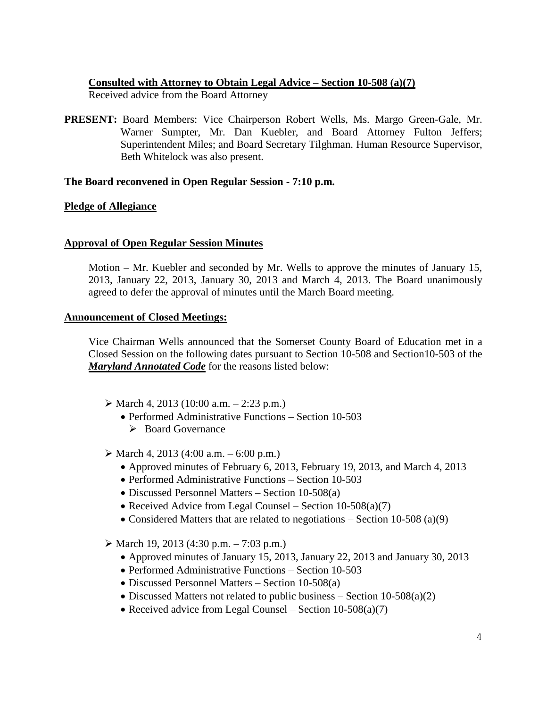## **Consulted with Attorney to Obtain Legal Advice – Section 10-508 (a)(7)**

Received advice from the Board Attorney

**PRESENT:** Board Members: Vice Chairperson Robert Wells, Ms. Margo Green-Gale, Mr. Warner Sumpter, Mr. Dan Kuebler, and Board Attorney Fulton Jeffers; Superintendent Miles; and Board Secretary Tilghman. Human Resource Supervisor, Beth Whitelock was also present.

## **The Board reconvened in Open Regular Session - 7:10 p.m.**

# **Pledge of Allegiance**

## **Approval of Open Regular Session Minutes**

Motion – Mr. Kuebler and seconded by Mr. Wells to approve the minutes of January 15, 2013, January 22, 2013, January 30, 2013 and March 4, 2013. The Board unanimously agreed to defer the approval of minutes until the March Board meeting.

## **Announcement of Closed Meetings:**

Vice Chairman Wells announced that the Somerset County Board of Education met in a Closed Session on the following dates pursuant to Section 10-508 and Section10-503 of the *Maryland Annotated Code* for the reasons listed below:

- $\triangleright$  March 4, 2013 (10:00 a.m. 2:23 p.m.)
	- Performed Administrative Functions Section 10-503
		- **►** Board Governance

 $\triangleright$  March 4, 2013 (4:00 a.m. – 6:00 p.m.)

- Approved minutes of February 6, 2013, February 19, 2013, and March 4, 2013
- Performed Administrative Functions Section 10-503
- Discussed Personnel Matters Section 10-508(a)
- Received Advice from Legal Counsel Section  $10-508(a)(7)$
- Considered Matters that are related to negotiations Section 10-508 (a)(9)
- $\triangleright$  March 19, 2013 (4:30 p.m. 7:03 p.m.)
	- Approved minutes of January 15, 2013, January 22, 2013 and January 30, 2013
	- Performed Administrative Functions Section 10-503
	- Discussed Personnel Matters Section 10-508(a)
	- Discussed Matters not related to public business Section  $10-508(a)(2)$
	- Received advice from Legal Counsel Section  $10-508(a)(7)$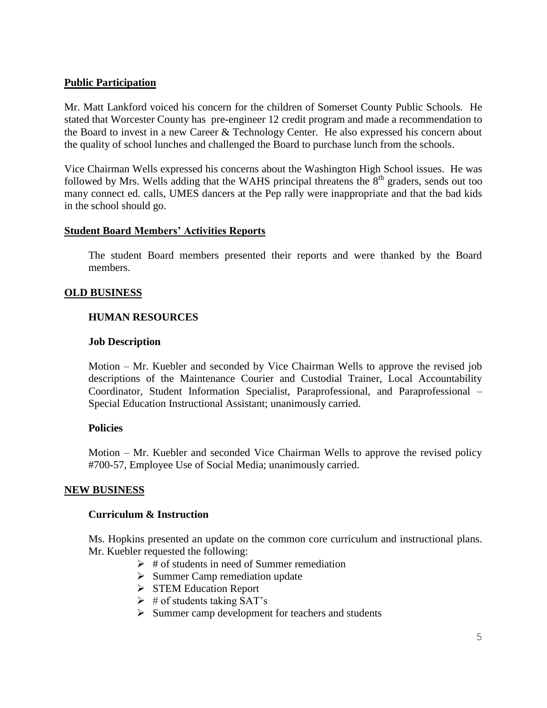## **Public Participation**

Mr. Matt Lankford voiced his concern for the children of Somerset County Public Schools. He stated that Worcester County has pre-engineer 12 credit program and made a recommendation to the Board to invest in a new Career & Technology Center. He also expressed his concern about the quality of school lunches and challenged the Board to purchase lunch from the schools.

Vice Chairman Wells expressed his concerns about the Washington High School issues. He was followed by Mrs. Wells adding that the WAHS principal threatens the  $8<sup>th</sup>$  graders, sends out too many connect ed. calls, UMES dancers at the Pep rally were inappropriate and that the bad kids in the school should go.

## **Student Board Members' Activities Reports**

The student Board members presented their reports and were thanked by the Board members.

## **OLD BUSINESS**

## **HUMAN RESOURCES**

## **Job Description**

Motion – Mr. Kuebler and seconded by Vice Chairman Wells to approve the revised job descriptions of the Maintenance Courier and Custodial Trainer, Local Accountability Coordinator, Student Information Specialist, Paraprofessional, and Paraprofessional – Special Education Instructional Assistant; unanimously carried.

## **Policies**

Motion – Mr. Kuebler and seconded Vice Chairman Wells to approve the revised policy #700-57, Employee Use of Social Media; unanimously carried.

## **NEW BUSINESS**

## **Curriculum & Instruction**

Ms. Hopkins presented an update on the common core curriculum and instructional plans. Mr. Kuebler requested the following:

- $\triangleright$  # of students in need of Summer remediation
- $\triangleright$  Summer Camp remediation update
- STEM Education Report
- $\triangleright$  # of students taking SAT's
- $\triangleright$  Summer camp development for teachers and students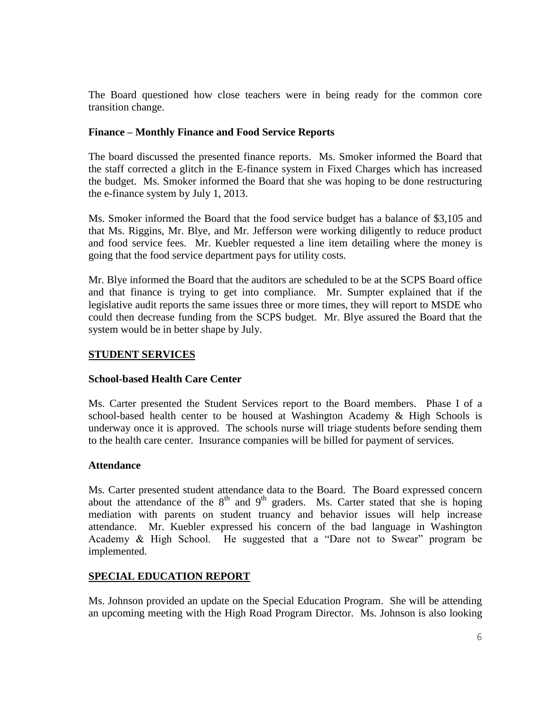The Board questioned how close teachers were in being ready for the common core transition change.

## **Finance – Monthly Finance and Food Service Reports**

The board discussed the presented finance reports. Ms. Smoker informed the Board that the staff corrected a glitch in the E-finance system in Fixed Charges which has increased the budget. Ms. Smoker informed the Board that she was hoping to be done restructuring the e-finance system by July 1, 2013.

Ms. Smoker informed the Board that the food service budget has a balance of \$3,105 and that Ms. Riggins, Mr. Blye, and Mr. Jefferson were working diligently to reduce product and food service fees. Mr. Kuebler requested a line item detailing where the money is going that the food service department pays for utility costs.

Mr. Blye informed the Board that the auditors are scheduled to be at the SCPS Board office and that finance is trying to get into compliance. Mr. Sumpter explained that if the legislative audit reports the same issues three or more times, they will report to MSDE who could then decrease funding from the SCPS budget. Mr. Blye assured the Board that the system would be in better shape by July.

## **STUDENT SERVICES**

## **School-based Health Care Center**

Ms. Carter presented the Student Services report to the Board members. Phase I of a school-based health center to be housed at Washington Academy & High Schools is underway once it is approved. The schools nurse will triage students before sending them to the health care center. Insurance companies will be billed for payment of services.

## **Attendance**

Ms. Carter presented student attendance data to the Board. The Board expressed concern about the attendance of the  $8<sup>th</sup>$  and  $9<sup>th</sup>$  graders. Ms. Carter stated that she is hoping mediation with parents on student truancy and behavior issues will help increase attendance. Mr. Kuebler expressed his concern of the bad language in Washington Academy & High School. He suggested that a "Dare not to Swear" program be implemented.

## **SPECIAL EDUCATION REPORT**

Ms. Johnson provided an update on the Special Education Program. She will be attending an upcoming meeting with the High Road Program Director. Ms. Johnson is also looking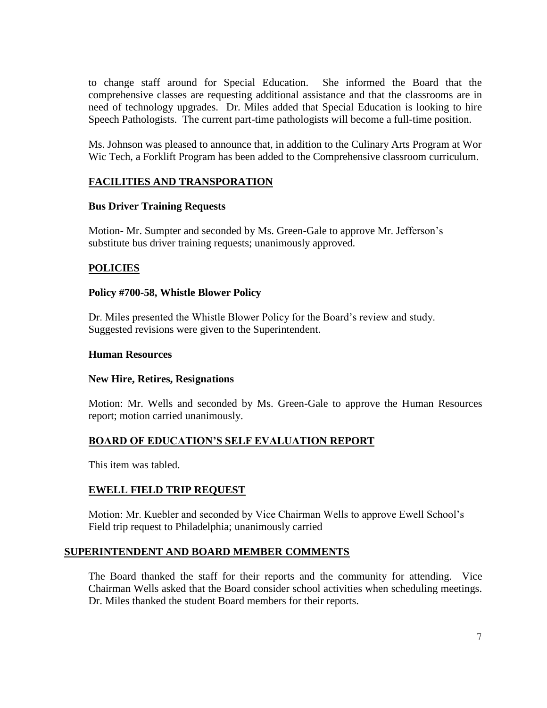to change staff around for Special Education. She informed the Board that the comprehensive classes are requesting additional assistance and that the classrooms are in need of technology upgrades. Dr. Miles added that Special Education is looking to hire Speech Pathologists. The current part-time pathologists will become a full-time position.

Ms. Johnson was pleased to announce that, in addition to the Culinary Arts Program at Wor Wic Tech, a Forklift Program has been added to the Comprehensive classroom curriculum.

# **FACILITIES AND TRANSPORATION**

## **Bus Driver Training Requests**

Motion- Mr. Sumpter and seconded by Ms. Green-Gale to approve Mr. Jefferson's substitute bus driver training requests; unanimously approved.

## **POLICIES**

### **Policy #700-58, Whistle Blower Policy**

Dr. Miles presented the Whistle Blower Policy for the Board's review and study. Suggested revisions were given to the Superintendent.

#### **Human Resources**

#### **New Hire, Retires, Resignations**

Motion: Mr. Wells and seconded by Ms. Green-Gale to approve the Human Resources report; motion carried unanimously.

## **BOARD OF EDUCATION'S SELF EVALUATION REPORT**

This item was tabled.

## **EWELL FIELD TRIP REQUEST**

Motion: Mr. Kuebler and seconded by Vice Chairman Wells to approve Ewell School's Field trip request to Philadelphia; unanimously carried

## **SUPERINTENDENT AND BOARD MEMBER COMMENTS**

The Board thanked the staff for their reports and the community for attending. Vice Chairman Wells asked that the Board consider school activities when scheduling meetings. Dr. Miles thanked the student Board members for their reports.